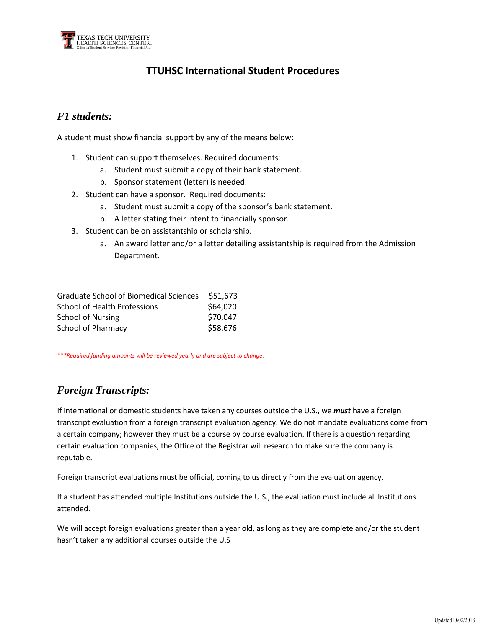

# **TTUHSC International Student Procedures**

## *F1 students:*

A student must show financial support by any of the means below:

- 1. Student can support themselves. Required documents:
	- a. Student must submit a copy of their bank statement.
	- b. Sponsor statement (letter) is needed.
- 2. Student can have a sponsor. Required documents:
	- a. Student must submit a copy of the sponsor's bank statement.
	- b. A letter stating their intent to financially sponsor.
- 3. Student can be on assistantship or scholarship.
	- a. An award letter and/or a letter detailing assistantship is required from the Admission Department.

| <b>Graduate School of Biomedical Sciences</b> | \$51,673 |
|-----------------------------------------------|----------|
| School of Health Professions                  | \$64,020 |
| School of Nursing                             | \$70,047 |
| <b>School of Pharmacy</b>                     | \$58,676 |

*\*\*\*Required funding amounts will be reviewed yearly and are subject to change.*

### *Foreign Transcripts:*

If international or domestic students have taken any courses outside the U.S., we *must* have a foreign transcript evaluation from a foreign transcript evaluation agency. We do not mandate evaluations come from a certain company; however they must be a course by course evaluation. If there is a question regarding certain evaluation companies, the Office of the Registrar will research to make sure the company is reputable.

Foreign transcript evaluations must be official, coming to us directly from the evaluation agency.

If a student has attended multiple Institutions outside the U.S., the evaluation must include all Institutions attended.

We will accept foreign evaluations greater than a year old, as long as they are complete and/or the student hasn't taken any additional courses outside the U.S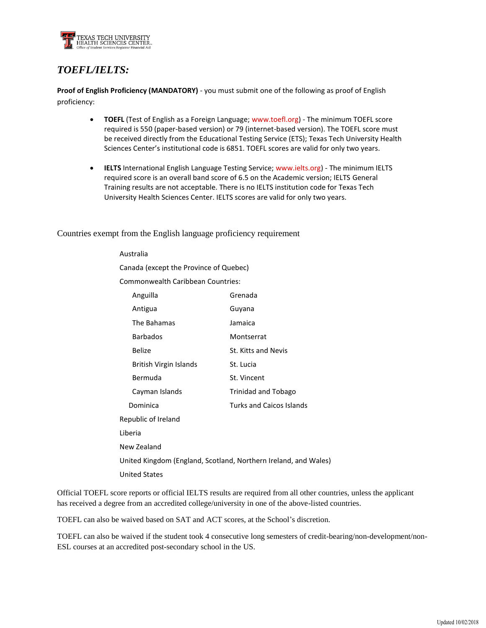

# *TOEFL/IELTS:*

**Proof of English Proficiency (MANDATORY)** - you must submit one of the following as proof of English proficiency:

- **TOEFL** (Test of English as a Foreign Language; [www.toefl.org\)](http://www.toefl.org/) The minimum TOEFL score required is 550 (paper-based version) or 79 (internet-based version). The TOEFL score must be received directly from the Educational Testing Service (ETS); Texas Tech University Health Sciences Center's institutional code is 6851. TOEFL scores are valid for only two years.
- **IELTS** International English Language Testing Service[; www.ielts.org\)](http://www.ielts.org/) The minimum IELTS required score is an overall band score of 6.5 on the Academic version; IELTS General Training results are not acceptable. There is no IELTS institution code for Texas Tech University Health Sciences Center. IELTS scores are valid for only two years.

Countries exempt from the English language proficiency requirement

Australia

| Canada (except the Province of Quebec)                          |
|-----------------------------------------------------------------|
| <b>Commonwealth Caribbean Countries:</b>                        |
| Grenada                                                         |
| Guyana                                                          |
| Jamaica                                                         |
| Montserrat                                                      |
| St. Kitts and Nevis                                             |
| St. Lucia                                                       |
| St. Vincent                                                     |
| <b>Trinidad and Tobago</b>                                      |
| <b>Turks and Caicos Islands</b>                                 |
|                                                                 |
|                                                                 |
|                                                                 |
| United Kingdom (England, Scotland, Northern Ireland, and Wales) |
|                                                                 |
|                                                                 |

Official TOEFL score reports or official IELTS results are required from all other countries, unless the applicant has received a degree from an accredited college/university in one of the above-listed countries.

TOEFL can also be waived based on SAT and ACT scores, at the School's discretion.

TOEFL can also be waived if the student took 4 consecutive long semesters of credit-bearing/non-development/non-ESL courses at an accredited post-secondary school in the US.